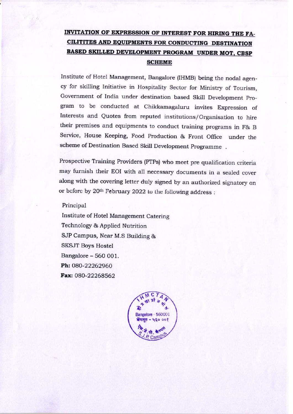### INVITATION OF EXPRESSION OF INTEREST FOR HIRING THE FA-CILITITES AND EQUIPMENTS FOR CONDUCTING DESTINATION BASED SKILLED DEVELOPMENT PROGRAM UNDER MOT, CBSP **SCHEME**

Institute of Hotel Management, Bangalore (IHMB) being the nodal agency for skilling Initiative in Hospitality Sector for Ministry of Tourism, Government of India under destination based Skill Development Program to be conducted at Chikkamagaluru invites Expression of Interests and Quotes from reputed institutions/Organisation to hire their premises and equipments to conduct training programs in F& B Service, House Keeping, Food Production & Front Office under the scheme of Destination Based Skill Development Programme.

Prospective Training Providers (PTPs) who meet pre qualification criteria may furnish their EOI with all necessary documents in a sealed cover along with the covering letter duly signed by an authorized signatory on or before by 20th February 2022 to the following address:

Principal

Institute of Hotel Management Catering Technology & Applied Nutrition SJP Campus, Near M.S Building & **SKSJT Boys Hostel** Bangalore - 560 001. Ph: 080-22262960 Fax: 080-22268562

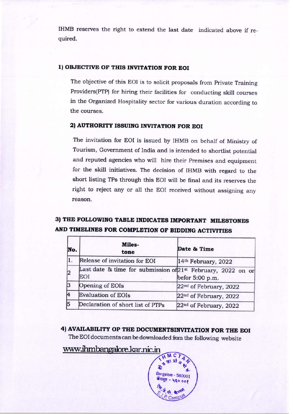IHMB reserves the right to extend the last date indicated above if required.

### 1) OBJECTIVE OF THIS INVITATION FOR EOI

The objective of this EOI is to solicit proposals from Private Training Providers(PTP) for hiring their facilities for conducting skill courses in the Organized Hospitality sector for various duration according to the courses.

### 2) AUTHORITY ISSUING INVITATION FOR EOI

The invitation for EOI is issued by IHMB on behalf of Ministry of Tourism, Government of India and is intended to shortlist potential and reputed agencies who will hire their Premises and equipment for the skill initiatives. The decision of IHMB with regard to the short listing TPs through this EOI will be final and its reserves the right to reject any or all the EOI received without assigning any reason.

### 3) THE FOLLOWING TABLE INDICATES IMPORTANT MILESTONES AND TIMELINES FOR COMPLETION OF BIDDING ACTIVITIES

| No. | <b>Miles-</b><br>tone                                                           | Date & Time                        |  |
|-----|---------------------------------------------------------------------------------|------------------------------------|--|
|     | Release of invitation for EOI                                                   | 14th February, 2022                |  |
|     | Last date & time for submission of 21 <sup>st</sup> February, 2022 on or<br>EOI | befor 5:00 p.m.                    |  |
|     | Opening of EOIs                                                                 | 22 <sup>nd</sup> of February, 2022 |  |
|     | <b>Evaluation of EOIs</b>                                                       | 22 <sup>nd</sup> of February, 2022 |  |
|     | Declaration of short list of PTPs                                               | 22 <sup>nd</sup> of February, 2022 |  |

4) AVAILABILITY OP THE DOCUMENTSINVITATION FOR THE EOI The EOI documents can be downloaded from the following website

## www.ihmbangalore.kar.nic.in

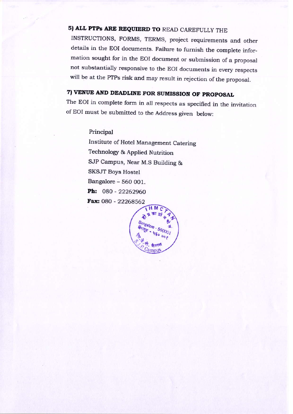# 5) ALL PTPs ARE REQUIERD TO READ CAREFULLY THE

INSTRUCTIONS, FORMS, TERMS, project requirements and other details in the EOI documents. Failure to furnish the complete information sought for in the EOI document or submission of a proposal not substantially responsive to the EOI documents in every respects will be at the PTPs risk and may result in rejection of the proposal.

## 7) VENUE AND DEADLINE FOR SUMISSION OF PROPOSAL

The EOI in complete form in all respects as specified in the invitation of EOI must be submitted to the Address given below:

Principal

Institute of Hotel Management Catering Technology & Applied Nutrition SJP Campus, Near M.S Building & SKSJT Boys Hostel Bangalore - 560 001. Ph: 080 - 22262960 Fax: 080 - 22268562

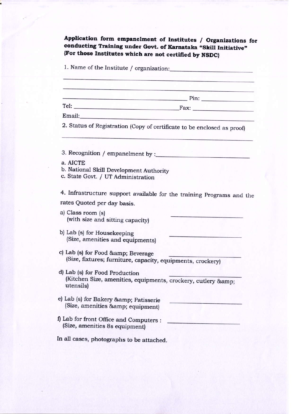Application form empanelment of Institutes / Organizations for conducting Training under Govt. of Karnataka "Skill Initiative" {For those Institutes which are not certitied by NSDC}

1. Name of the Institute / organization:

Pin:

Fax: Email:

2. Status of Registration (Copy of certificate to be enclosed as proof)

3. Recognition / empanelrnent by :

- A. AICTE
- b. National Skill Development Authority
- c. State Govt. / UT Administration

4. Infrastructure support available for the training Prograns and the rates Quoted per day basis.

a) Class room (s) (with size and sitting capacity)

b) Lab (s) for Housekeeping (Size, amenities and equipments)

c) Lab (s) for Food & amp; Beverage (Size, fixtures; furniture, capacity, equipments, crockery)

- d) Lab (s) for Food production (Kitchen Size, amenities, equipments, crockery, cutlery & utensils)
- e) Lab (s) for Bakery & amp; Patisserie (Size, amenities & amp; equipment)
- f) Lab for front Office and Computers : \_ (Size, amenities 8s equipment)

In all cases, photographs to be attached.